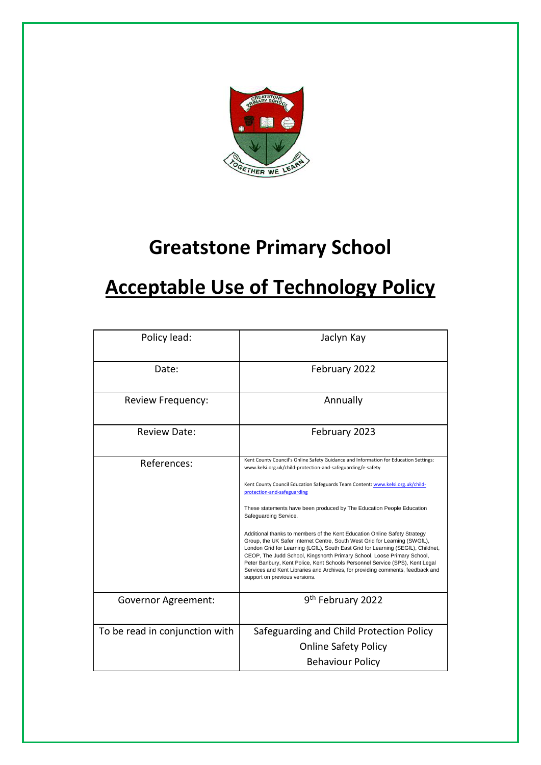

# **Greatstone Primary School**

# **Acceptable Use of Technology Policy**

| Policy lead:                   | Jaclyn Kay                                                                                                                                                                                                                                                                                                                                                                                                                                                                                                                                                                                                                                                                                                                                                                                                                                                                                          |
|--------------------------------|-----------------------------------------------------------------------------------------------------------------------------------------------------------------------------------------------------------------------------------------------------------------------------------------------------------------------------------------------------------------------------------------------------------------------------------------------------------------------------------------------------------------------------------------------------------------------------------------------------------------------------------------------------------------------------------------------------------------------------------------------------------------------------------------------------------------------------------------------------------------------------------------------------|
| Date:                          | February 2022                                                                                                                                                                                                                                                                                                                                                                                                                                                                                                                                                                                                                                                                                                                                                                                                                                                                                       |
| Review Frequency:              | Annually                                                                                                                                                                                                                                                                                                                                                                                                                                                                                                                                                                                                                                                                                                                                                                                                                                                                                            |
| <b>Review Date:</b>            | February 2023                                                                                                                                                                                                                                                                                                                                                                                                                                                                                                                                                                                                                                                                                                                                                                                                                                                                                       |
| References:                    | Kent County Council's Online Safety Guidance and Information for Education Settings:<br>www.kelsi.org.uk/child-protection-and-safeguarding/e-safety<br>Kent County Council Education Safeguards Team Content: www.kelsi.org.uk/child-<br>protection-and-safeguarding<br>These statements have been produced by The Education People Education<br>Safeguarding Service.<br>Additional thanks to members of the Kent Education Online Safety Strategy<br>Group, the UK Safer Internet Centre, South West Grid for Learning (SWGfL),<br>London Grid for Learning (LGfL), South East Grid for Learning (SEGfL), Childnet,<br>CEOP, The Judd School, Kingsnorth Primary School, Loose Primary School,<br>Peter Banbury, Kent Police, Kent Schools Personnel Service (SPS), Kent Legal<br>Services and Kent Libraries and Archives, for providing comments, feedback and<br>support on previous versions. |
| <b>Governor Agreement:</b>     | 9 <sup>th</sup> February 2022                                                                                                                                                                                                                                                                                                                                                                                                                                                                                                                                                                                                                                                                                                                                                                                                                                                                       |
| To be read in conjunction with | Safeguarding and Child Protection Policy<br><b>Online Safety Policy</b><br><b>Behaviour Policy</b>                                                                                                                                                                                                                                                                                                                                                                                                                                                                                                                                                                                                                                                                                                                                                                                                  |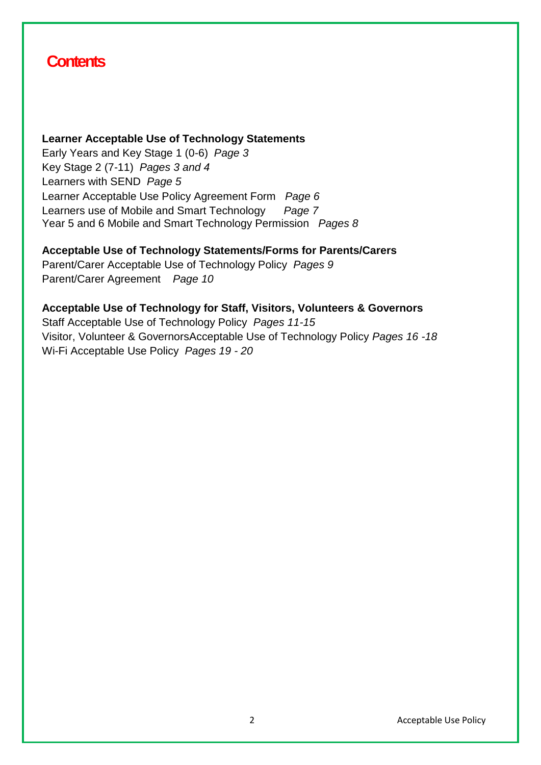# **Contents**

#### **Learner Acceptable Use of Technology Statements**

Early Years and Key Stage 1 (0-6) *Page 3* Key Stage 2 (7-11) *Pages 3 and 4* Learners with SEND *Page 5* Learner Acceptable Use Policy Agreement Form *Page 6*  Learners use of Mobile and Smart Technology *Page 7* Year 5 and 6 Mobile and Smart Technology Permission *Pages 8*

#### **Acceptable Use of Technology Statements/Forms for Parents/Carers**

Parent/Carer Acceptable Use of Technology Policy *Pages 9* Parent/Carer Agreement *Page 10*

# **Acceptable Use of Technology for Staff, Visitors, Volunteers & Governors**

Staff Acceptable Use of Technology Policy *Pages 11-15* Visitor, Volunteer & GovernorsAcceptable Use of Technology Policy *Pages 16 -18* Wi-Fi Acceptable Use Policy *Pages 19 - 20*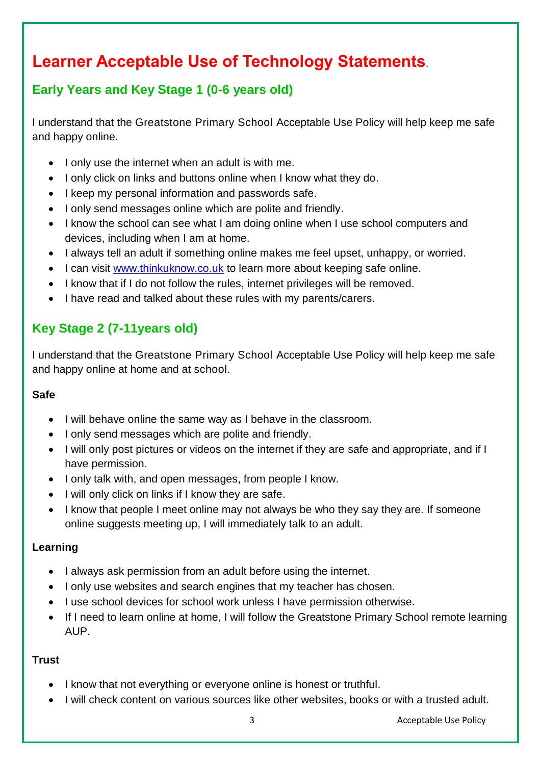# **Learner Acceptable Use of Technology Statements**.

## **Early Years and Key Stage 1 (0-6 years old)**

I understand that the Greatstone Primary School Acceptable Use Policy will help keep me safe and happy online.

- I only use the internet when an adult is with me.
- I only click on links and buttons online when I know what they do.
- I keep my personal information and passwords safe.
- I only send messages online which are polite and friendly.
- I know the school can see what I am doing online when I use school computers and devices, including when I am at home.
- I always tell an adult if something online makes me feel upset, unhappy, or worried.
- I can visit [www.thinkuknow.co.uk](http://www.thinkuknow.co.uk/) to learn more about keeping safe online.
- I know that if I do not follow the rules, internet privileges will be removed.
- I have read and talked about these rules with my parents/carers.

# **Key Stage 2 (7-11years old)**

I understand that the Greatstone Primary School Acceptable Use Policy will help keep me safe and happy online at home and at school.

#### **Safe**

- I will behave online the same way as I behave in the classroom.
- I only send messages which are polite and friendly.
- I will only post pictures or videos on the internet if they are safe and appropriate, and if I have permission.
- I only talk with, and open messages, from people I know.
- I will only click on links if I know they are safe.
- I know that people I meet online may not always be who they say they are. If someone online suggests meeting up, I will immediately talk to an adult.

#### **Learning**

- I always ask permission from an adult before using the internet.
- I only use websites and search engines that my teacher has chosen.
- I use school devices for school work unless I have permission otherwise.
- If I need to learn online at home, I will follow the Greatstone Primary School remote learning AUP.

### **Trust**

- I know that not everything or everyone online is honest or truthful.
- I will check content on various sources like other websites, books or with a trusted adult.

3 Acceptable Use Policy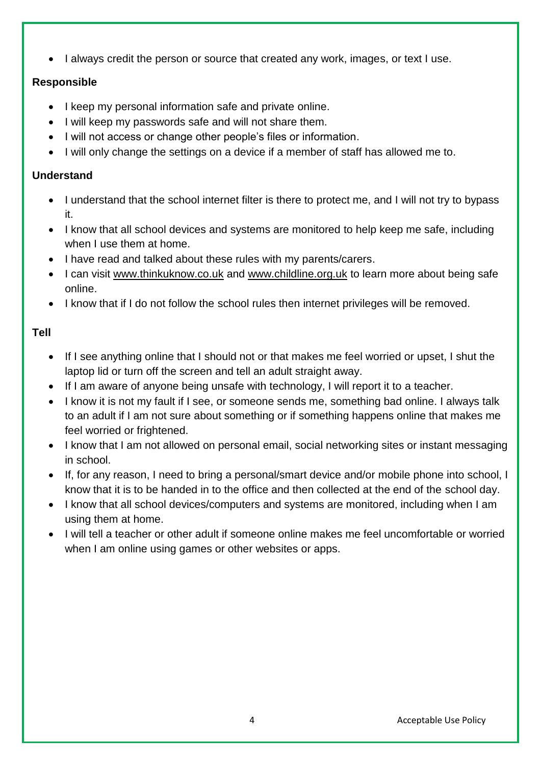• I always credit the person or source that created any work, images, or text I use.

### **Responsible**

- I keep my personal information safe and private online.
- I will keep my passwords safe and will not share them.
- I will not access or change other people's files or information.
- I will only change the settings on a device if a member of staff has allowed me to.

### **Understand**

- I understand that the school internet filter is there to protect me, and I will not try to bypass it.
- I know that all school devices and systems are monitored to help keep me safe, including when I use them at home.
- I have read and talked about these rules with my parents/carers.
- I can visit [www.thinkuknow.co.uk](http://www.thinkuknow.co.uk/) and [www.childline.org.uk](http://www.childline.org.uk/) to learn more about being safe online.
- I know that if I do not follow the school rules then internet privileges will be removed.

### **Tell**

- If I see anything online that I should not or that makes me feel worried or upset, I shut the laptop lid or turn off the screen and tell an adult straight away.
- If I am aware of anyone being unsafe with technology, I will report it to a teacher.
- I know it is not my fault if I see, or someone sends me, something bad online. I always talk to an adult if I am not sure about something or if something happens online that makes me feel worried or frightened.
- I know that I am not allowed on personal email, social networking sites or instant messaging in school.
- If, for any reason, I need to bring a personal/smart device and/or mobile phone into school, I know that it is to be handed in to the office and then collected at the end of the school day.
- I know that all school devices/computers and systems are monitored, including when I am using them at home.
- I will tell a teacher or other adult if someone online makes me feel uncomfortable or worried when I am online using games or other websites or apps.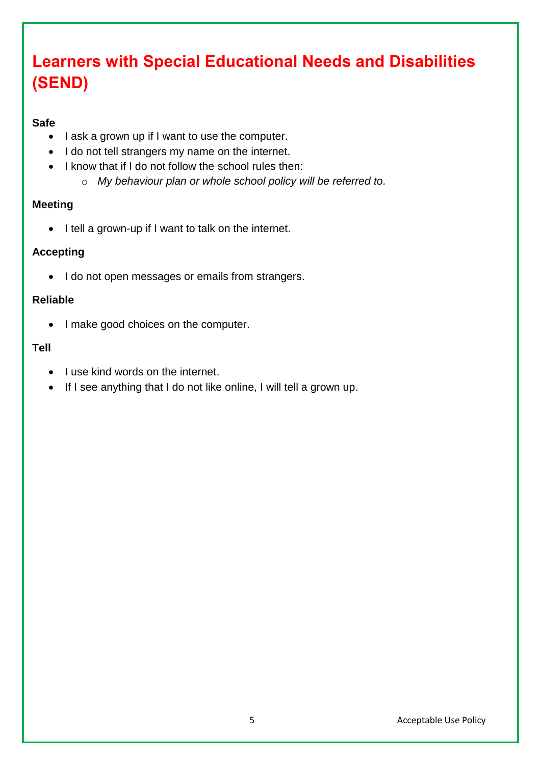# **Learners with Special Educational Needs and Disabilities (SEND)**

#### **Safe**

- I ask a grown up if I want to use the computer.
- I do not tell strangers my name on the internet.
- I know that if I do not follow the school rules then:
	- o *My behaviour plan or whole school policy will be referred to.*

#### **Meeting**

• I tell a grown-up if I want to talk on the internet.

#### **Accepting**

• I do not open messages or emails from strangers.

#### **Reliable**

• I make good choices on the computer.

#### **Tell**

- I use kind words on the internet.
- If I see anything that I do not like online, I will tell a grown up.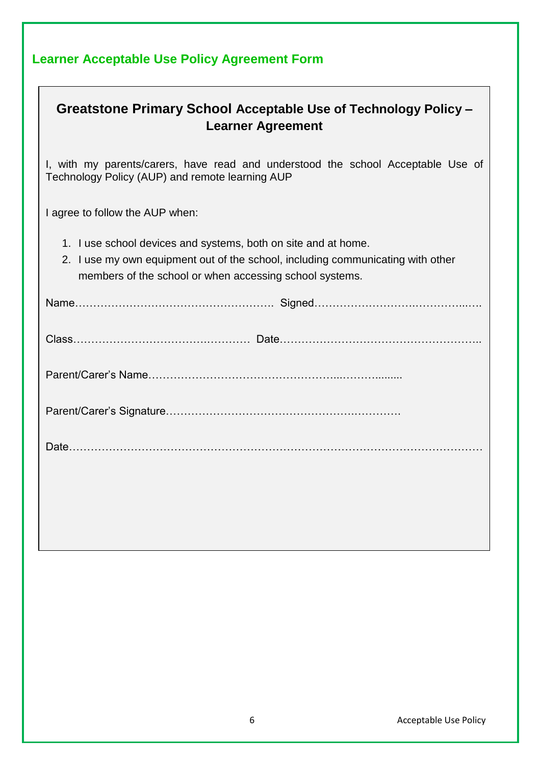| <b>Learner Acceptable Use Policy Agreement Form</b> |
|-----------------------------------------------------|
|-----------------------------------------------------|

| Greatstone Primary School Acceptable Use of Technology Policy -<br><b>Learner Agreement</b>                                                                                                                  |  |
|--------------------------------------------------------------------------------------------------------------------------------------------------------------------------------------------------------------|--|
| I, with my parents/carers, have read and understood the school Acceptable Use of<br>Technology Policy (AUP) and remote learning AUP                                                                          |  |
| I agree to follow the AUP when:                                                                                                                                                                              |  |
| 1. I use school devices and systems, both on site and at home.<br>2. I use my own equipment out of the school, including communicating with other<br>members of the school or when accessing school systems. |  |
|                                                                                                                                                                                                              |  |
|                                                                                                                                                                                                              |  |
|                                                                                                                                                                                                              |  |
|                                                                                                                                                                                                              |  |
|                                                                                                                                                                                                              |  |
|                                                                                                                                                                                                              |  |
|                                                                                                                                                                                                              |  |

┑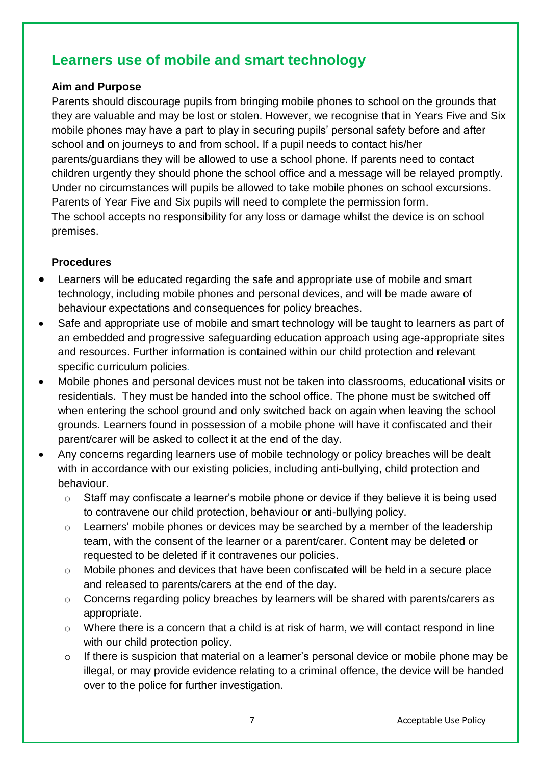# **Learners use of mobile and smart technology**

#### **Aim and Purpose**

Parents should discourage pupils from bringing mobile phones to school on the grounds that they are valuable and may be lost or stolen. However, we recognise that in Years Five and Six mobile phones may have a part to play in securing pupils' personal safety before and after school and on journeys to and from school. If a pupil needs to contact his/her parents/guardians they will be allowed to use a school phone. If parents need to contact children urgently they should phone the school office and a message will be relayed promptly. Under no circumstances will pupils be allowed to take mobile phones on school excursions. Parents of Year Five and Six pupils will need to complete the permission form. The school accepts no responsibility for any loss or damage whilst the device is on school premises.

#### **Procedures**

- Learners will be educated regarding the safe and appropriate use of mobile and smart technology, including mobile phones and personal devices, and will be made aware of behaviour expectations and consequences for policy breaches.
- Safe and appropriate use of mobile and smart technology will be taught to learners as part of an embedded and progressive safeguarding education approach using age-appropriate sites and resources. Further information is contained within our child protection and relevant specific curriculum policies*.*
- Mobile phones and personal devices must not be taken into classrooms, educational visits or residentials. They must be handed into the school office. The phone must be switched off when entering the school ground and only switched back on again when leaving the school grounds. Learners found in possession of a mobile phone will have it confiscated and their parent/carer will be asked to collect it at the end of the day.
- Any concerns regarding learners use of mobile technology or policy breaches will be dealt with in accordance with our existing policies, including anti-bullying, child protection and behaviour.
	- o Staff may confiscate a learner's mobile phone or device if they believe it is being used to contravene our child protection, behaviour or anti-bullying policy.
	- o Learners' mobile phones or devices may be searched by a member of the leadership team, with the consent of the learner or a parent/carer. Content may be deleted or requested to be deleted if it contravenes our policies.
	- o Mobile phones and devices that have been confiscated will be held in a secure place and released to parents/carers at the end of the day.
	- o Concerns regarding policy breaches by learners will be shared with parents/carers as appropriate.
	- o Where there is a concern that a child is at risk of harm, we will contact respond in line with our child protection policy.
	- o If there is suspicion that material on a learner's personal device or mobile phone may be illegal, or may provide evidence relating to a criminal offence, the device will be handed over to the police for further investigation.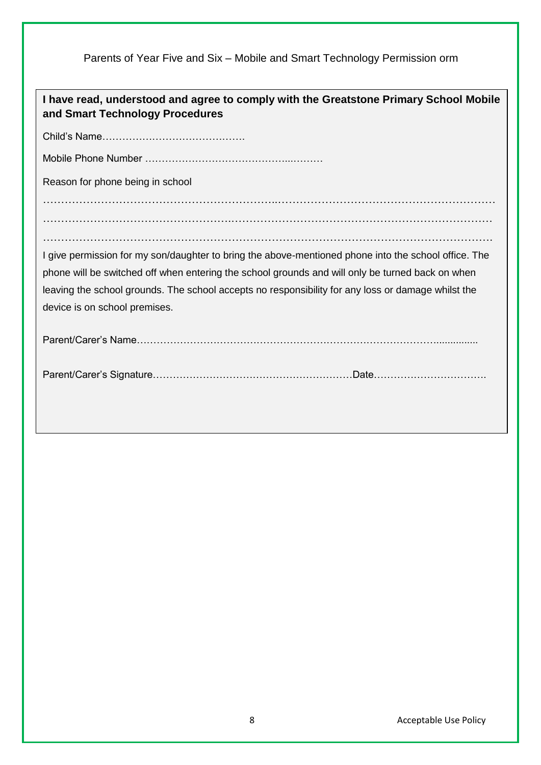Parents of Year Five and Six – Mobile and Smart Technology Permission orm

| I have read, understood and agree to comply with the Greatstone Primary School Mobile<br>and Smart Technology Procedures |
|--------------------------------------------------------------------------------------------------------------------------|
|                                                                                                                          |
|                                                                                                                          |
| Reason for phone being in school                                                                                         |
|                                                                                                                          |
|                                                                                                                          |
|                                                                                                                          |
| I give permission for my son/daughter to bring the above-mentioned phone into the school office. The                     |
| phone will be switched off when entering the school grounds and will only be turned back on when                         |
| leaving the school grounds. The school accepts no responsibility for any loss or damage whilst the                       |
| device is on school premises.                                                                                            |
|                                                                                                                          |
|                                                                                                                          |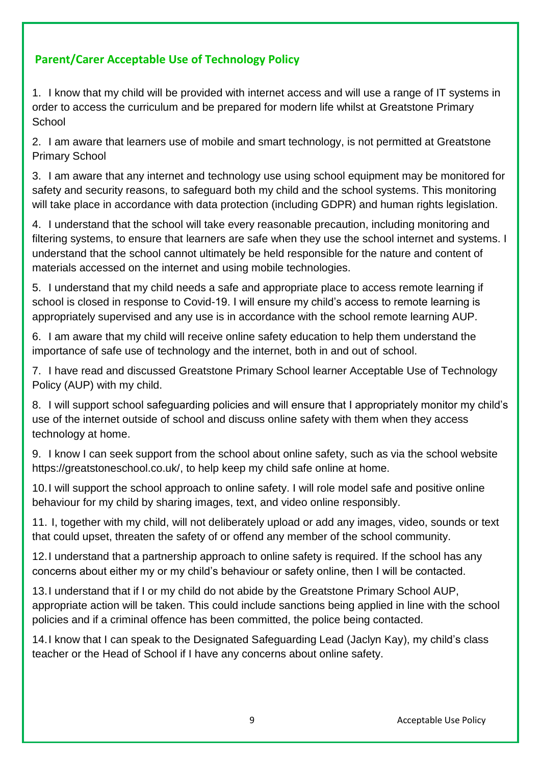## **Parent/Carer Acceptable Use of Technology Policy**

1. I know that my child will be provided with internet access and will use a range of IT systems in order to access the curriculum and be prepared for modern life whilst at Greatstone Primary **School** 

2. I am aware that learners use of mobile and smart technology, is not permitted at Greatstone Primary School

3. I am aware that any internet and technology use using school equipment may be monitored for safety and security reasons, to safeguard both my child and the school systems. This monitoring will take place in accordance with data protection (including GDPR) and human rights legislation.

4. I understand that the school will take every reasonable precaution, including monitoring and filtering systems, to ensure that learners are safe when they use the school internet and systems. I understand that the school cannot ultimately be held responsible for the nature and content of materials accessed on the internet and using mobile technologies.

5. I understand that my child needs a safe and appropriate place to access remote learning if school is closed in response to Covid-19. I will ensure my child's access to remote learning is appropriately supervised and any use is in accordance with the school remote learning AUP.

6. I am aware that my child will receive online safety education to help them understand the importance of safe use of technology and the internet, both in and out of school.

7. I have read and discussed Greatstone Primary School learner Acceptable Use of Technology Policy (AUP) with my child.

8. I will support school safeguarding policies and will ensure that I appropriately monitor my child's use of the internet outside of school and discuss online safety with them when they access technology at home.

9. I know I can seek support from the school about online safety, such as via the school website https://greatstoneschool.co.uk/, to help keep my child safe online at home.

10.I will support the school approach to online safety. I will role model safe and positive online behaviour for my child by sharing images, text, and video online responsibly.

11. I, together with my child, will not deliberately upload or add any images, video, sounds or text that could upset, threaten the safety of or offend any member of the school community.

12.I understand that a partnership approach to online safety is required. If the school has any concerns about either my or my child's behaviour or safety online, then I will be contacted.

13.I understand that if I or my child do not abide by the Greatstone Primary School AUP, appropriate action will be taken. This could include sanctions being applied in line with the school policies and if a criminal offence has been committed, the police being contacted.

14.I know that I can speak to the Designated Safeguarding Lead (Jaclyn Kay), my child's class teacher or the Head of School if I have any concerns about online safety.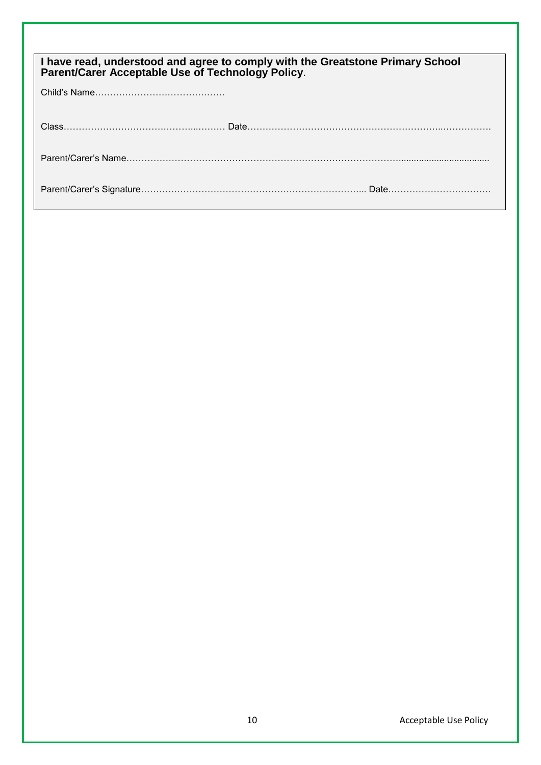| I have read, understood and agree to comply with the Greatstone Primary School<br>Parent/Carer Acceptable Use of Technology Policy. |  |
|-------------------------------------------------------------------------------------------------------------------------------------|--|
|                                                                                                                                     |  |
|                                                                                                                                     |  |
|                                                                                                                                     |  |
|                                                                                                                                     |  |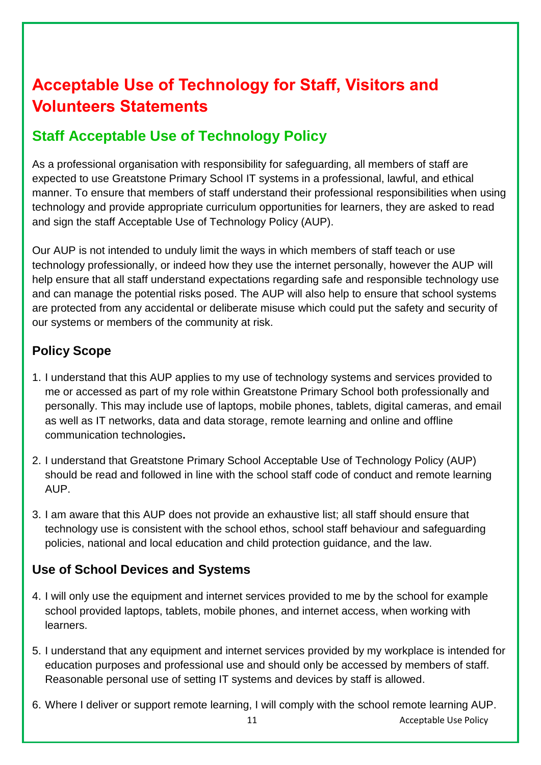# **Acceptable Use of Technology for Staff, Visitors and Volunteers Statements**

# **Staff Acceptable Use of Technology Policy**

As a professional organisation with responsibility for safeguarding, all members of staff are expected to use Greatstone Primary School IT systems in a professional, lawful, and ethical manner. To ensure that members of staff understand their professional responsibilities when using technology and provide appropriate curriculum opportunities for learners, they are asked to read and sign the staff Acceptable Use of Technology Policy (AUP).

Our AUP is not intended to unduly limit the ways in which members of staff teach or use technology professionally, or indeed how they use the internet personally, however the AUP will help ensure that all staff understand expectations regarding safe and responsible technology use and can manage the potential risks posed. The AUP will also help to ensure that school systems are protected from any accidental or deliberate misuse which could put the safety and security of our systems or members of the community at risk.

# **Policy Scope**

- 1. I understand that this AUP applies to my use of technology systems and services provided to me or accessed as part of my role within Greatstone Primary School both professionally and personally. This may include use of laptops, mobile phones, tablets, digital cameras, and email as well as IT networks, data and data storage, remote learning and online and offline communication technologies**.**
- 2. I understand that Greatstone Primary School Acceptable Use of Technology Policy (AUP) should be read and followed in line with the school staff code of conduct and remote learning AUP.
- 3. I am aware that this AUP does not provide an exhaustive list; all staff should ensure that technology use is consistent with the school ethos, school staff behaviour and safeguarding policies, national and local education and child protection guidance, and the law.

# **Use of School Devices and Systems**

- 4. I will only use the equipment and internet services provided to me by the school for example school provided laptops, tablets, mobile phones, and internet access, when working with learners.
- 5. I understand that any equipment and internet services provided by my workplace is intended for education purposes and professional use and should only be accessed by members of staff. Reasonable personal use of setting IT systems and devices by staff is allowed.
- 6. Where I deliver or support remote learning, I will comply with the school remote learning AUP.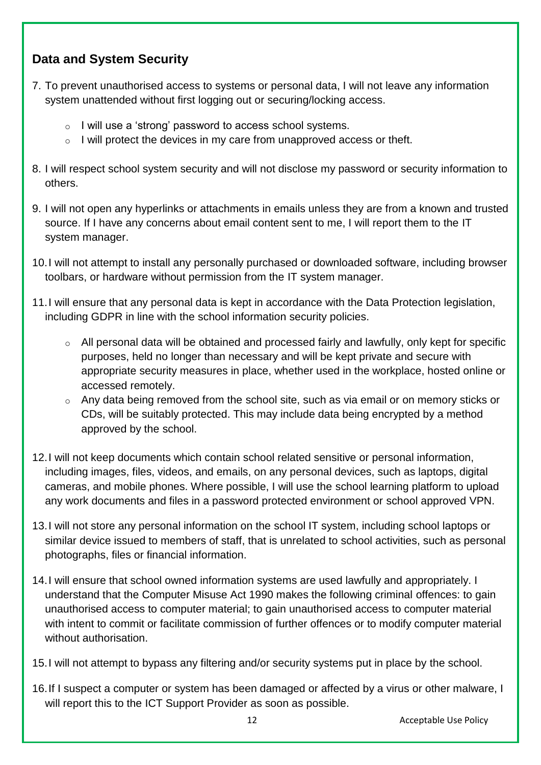## **Data and System Security**

- 7. To prevent unauthorised access to systems or personal data, I will not leave any information system unattended without first logging out or securing/locking access.
	- o I will use a 'strong' password to access school systems.
	- $\circ$  I will protect the devices in my care from unapproved access or theft.
- 8. I will respect school system security and will not disclose my password or security information to others.
- 9. I will not open any hyperlinks or attachments in emails unless they are from a known and trusted source. If I have any concerns about email content sent to me, I will report them to the IT system manager.
- 10.I will not attempt to install any personally purchased or downloaded software, including browser toolbars, or hardware without permission from the IT system manager.
- 11.I will ensure that any personal data is kept in accordance with the Data Protection legislation, including GDPR in line with the school information security policies.
	- o All personal data will be obtained and processed fairly and lawfully, only kept for specific purposes, held no longer than necessary and will be kept private and secure with appropriate security measures in place, whether used in the workplace, hosted online or accessed remotely.
	- o Any data being removed from the school site, such as via email or on memory sticks or CDs, will be suitably protected. This may include data being encrypted by a method approved by the school.
- 12.I will not keep documents which contain school related sensitive or personal information, including images, files, videos, and emails, on any personal devices, such as laptops, digital cameras, and mobile phones. Where possible, I will use the school learning platform to upload any work documents and files in a password protected environment or school approved VPN.
- 13.I will not store any personal information on the school IT system, including school laptops or similar device issued to members of staff, that is unrelated to school activities, such as personal photographs, files or financial information.
- 14.I will ensure that school owned information systems are used lawfully and appropriately. I understand that the Computer Misuse Act 1990 makes the following criminal offences: to gain unauthorised access to computer material; to gain unauthorised access to computer material with intent to commit or facilitate commission of further offences or to modify computer material without authorisation.
- 15.I will not attempt to bypass any filtering and/or security systems put in place by the school.
- 16.If I suspect a computer or system has been damaged or affected by a virus or other malware, I will report this to the ICT Support Provider as soon as possible.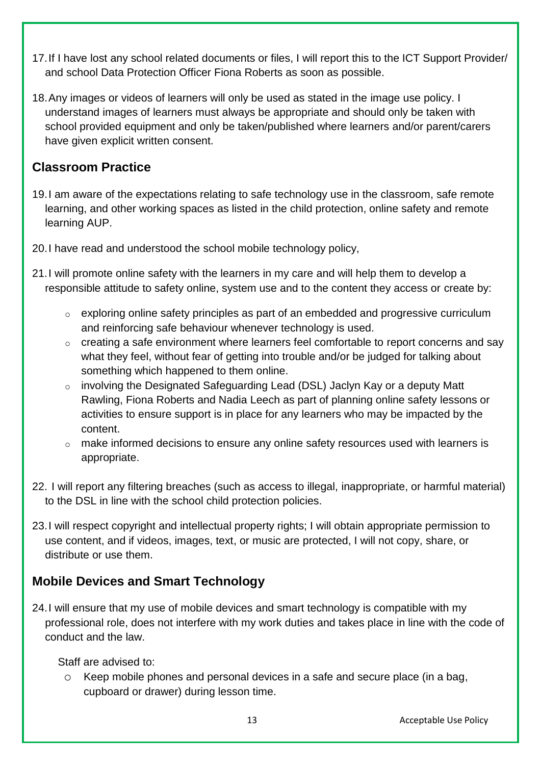- 17.If I have lost any school related documents or files, I will report this to the ICT Support Provider/ and school Data Protection Officer Fiona Roberts as soon as possible.
- 18.Any images or videos of learners will only be used as stated in the image use policy. I understand images of learners must always be appropriate and should only be taken with school provided equipment and only be taken/published where learners and/or parent/carers have given explicit written consent.

## **Classroom Practice**

- 19.I am aware of the expectations relating to safe technology use in the classroom, safe remote learning, and other working spaces as listed in the child protection, online safety and remote learning AUP.
- 20.I have read and understood the school mobile technology policy,
- 21.I will promote online safety with the learners in my care and will help them to develop a responsible attitude to safety online, system use and to the content they access or create by:
	- o exploring online safety principles as part of an embedded and progressive curriculum and reinforcing safe behaviour whenever technology is used.
	- o creating a safe environment where learners feel comfortable to report concerns and say what they feel, without fear of getting into trouble and/or be judged for talking about something which happened to them online.
	- o involving the Designated Safeguarding Lead (DSL) Jaclyn Kay or a deputy Matt Rawling, Fiona Roberts and Nadia Leech as part of planning online safety lessons or activities to ensure support is in place for any learners who may be impacted by the content.
	- o make informed decisions to ensure any online safety resources used with learners is appropriate.
- 22. I will report any filtering breaches (such as access to illegal, inappropriate, or harmful material) to the DSL in line with the school child protection policies.
- 23.I will respect copyright and intellectual property rights; I will obtain appropriate permission to use content, and if videos, images, text, or music are protected, I will not copy, share, or distribute or use them.

# **Mobile Devices and Smart Technology**

24.I will ensure that my use of mobile devices and smart technology is compatible with my professional role, does not interfere with my work duties and takes place in line with the code of conduct and the law.

Staff are advised to:

o Keep mobile phones and personal devices in a safe and secure place (in a bag, cupboard or drawer) during lesson time.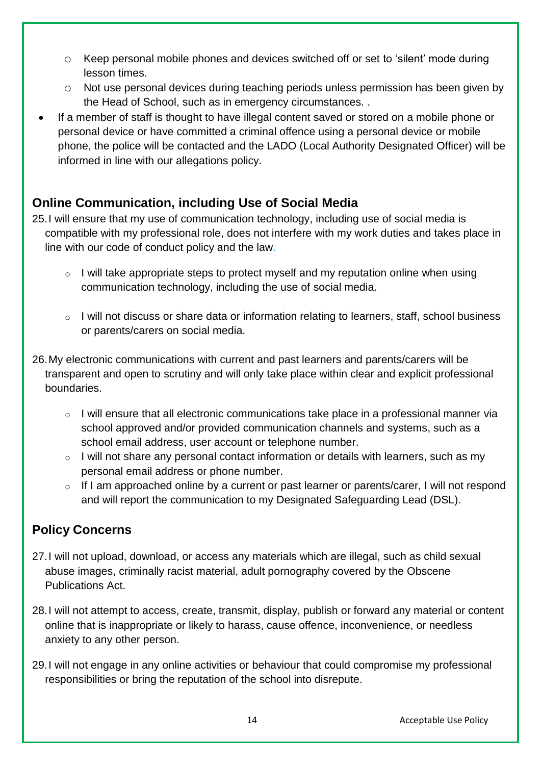- o Keep personal mobile phones and devices switched off or set to 'silent' mode during lesson times.
- o Not use personal devices during teaching periods unless permission has been given by the Head of School, such as in emergency circumstances. .
- If a member of staff is thought to have illegal content saved or stored on a mobile phone or personal device or have committed a criminal offence using a personal device or mobile phone, the police will be contacted and the LADO (Local Authority Designated Officer) will be informed in line with our allegations policy.

## **Online Communication, including Use of Social Media**

- 25.I will ensure that my use of communication technology, including use of social media is compatible with my professional role, does not interfere with my work duties and takes place in line with our code of conduct policy and the law.
	- $\circ$  I will take appropriate steps to protect myself and my reputation online when using communication technology, including the use of social media.
	- $\circ$  I will not discuss or share data or information relating to learners, staff, school business or parents/carers on social media.
- 26.My electronic communications with current and past learners and parents/carers will be transparent and open to scrutiny and will only take place within clear and explicit professional boundaries.
	- $\circ$  I will ensure that all electronic communications take place in a professional manner via school approved and/or provided communication channels and systems, such as a school email address, user account or telephone number.
	- $\circ$  I will not share any personal contact information or details with learners, such as my personal email address or phone number.
	- o If I am approached online by a current or past learner or parents/carer, I will not respond and will report the communication to my Designated Safeguarding Lead (DSL).

# **Policy Concerns**

- 27.I will not upload, download, or access any materials which are illegal, such as child sexual abuse images, criminally racist material, adult pornography covered by the Obscene Publications Act.
- 28.I will not attempt to access, create, transmit, display, publish or forward any material or content online that is inappropriate or likely to harass, cause offence, inconvenience, or needless anxiety to any other person.
- 29.I will not engage in any online activities or behaviour that could compromise my professional responsibilities or bring the reputation of the school into disrepute.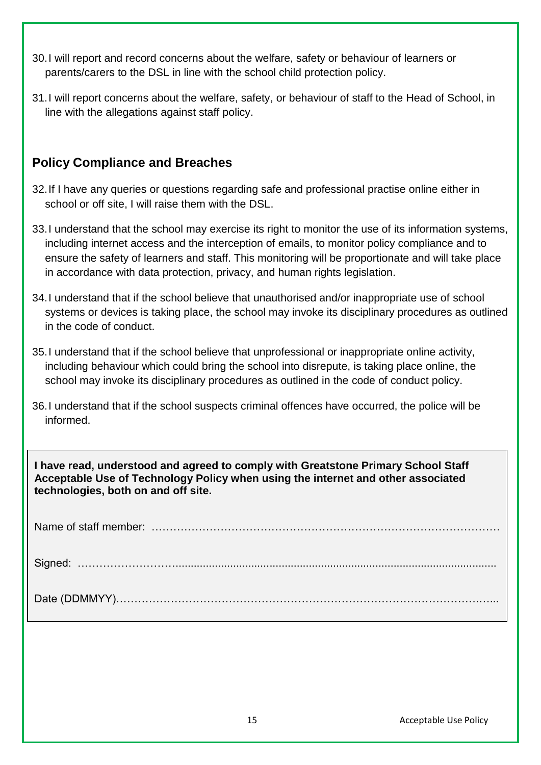- 30.I will report and record concerns about the welfare, safety or behaviour of learners or parents/carers to the DSL in line with the school child protection policy.
- 31.I will report concerns about the welfare, safety, or behaviour of staff to the Head of School, in line with the allegations against staff policy.

## **Policy Compliance and Breaches**

- 32.If I have any queries or questions regarding safe and professional practise online either in school or off site, I will raise them with the DSL.
- 33.I understand that the school may exercise its right to monitor the use of its information systems, including internet access and the interception of emails, to monitor policy compliance and to ensure the safety of learners and staff. This monitoring will be proportionate and will take place in accordance with data protection, privacy, and human rights legislation.
- 34.I understand that if the school believe that unauthorised and/or inappropriate use of school systems or devices is taking place, the school may invoke its disciplinary procedures as outlined in the code of conduct.
- 35.I understand that if the school believe that unprofessional or inappropriate online activity, including behaviour which could bring the school into disrepute, is taking place online, the school may invoke its disciplinary procedures as outlined in the code of conduct policy.
- 36.I understand that if the school suspects criminal offences have occurred, the police will be informed.

**I have read, understood and agreed to comply with Greatstone Primary School Staff Acceptable Use of Technology Policy when using the internet and other associated technologies, both on and off site.**

Name of staff member: …………………………………………………………………………………… Signed: ……………………….......................................................................................................... Date (DDMMYY)……………………………………………………………………………………….…...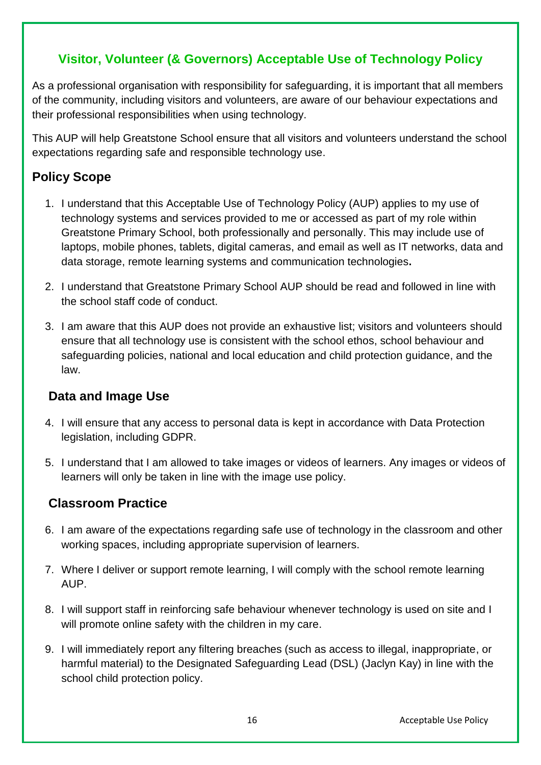## **Visitor, Volunteer (& Governors) Acceptable Use of Technology Policy**

As a professional organisation with responsibility for safeguarding, it is important that all members of the community, including visitors and volunteers, are aware of our behaviour expectations and their professional responsibilities when using technology.

This AUP will help Greatstone School ensure that all visitors and volunteers understand the school expectations regarding safe and responsible technology use.

# **Policy Scope**

- 1. I understand that this Acceptable Use of Technology Policy (AUP) applies to my use of technology systems and services provided to me or accessed as part of my role within Greatstone Primary School, both professionally and personally. This may include use of laptops, mobile phones, tablets, digital cameras, and email as well as IT networks, data and data storage, remote learning systems and communication technologies**.**
- 2. I understand that Greatstone Primary School AUP should be read and followed in line with the school staff code of conduct.
- 3. I am aware that this AUP does not provide an exhaustive list; visitors and volunteers should ensure that all technology use is consistent with the school ethos, school behaviour and safeguarding policies, national and local education and child protection guidance, and the law.

## **Data and Image Use**

- 4. I will ensure that any access to personal data is kept in accordance with Data Protection legislation, including GDPR.
- 5. I understand that I am allowed to take images or videos of learners. Any images or videos of learners will only be taken in line with the image use policy.

## **Classroom Practice**

- 6. I am aware of the expectations regarding safe use of technology in the classroom and other working spaces, including appropriate supervision of learners.
- 7. Where I deliver or support remote learning, I will comply with the school remote learning AUP.
- 8. I will support staff in reinforcing safe behaviour whenever technology is used on site and I will promote online safety with the children in my care.
- 9. I will immediately report any filtering breaches (such as access to illegal, inappropriate, or harmful material) to the Designated Safeguarding Lead (DSL) (Jaclyn Kay) in line with the school child protection policy.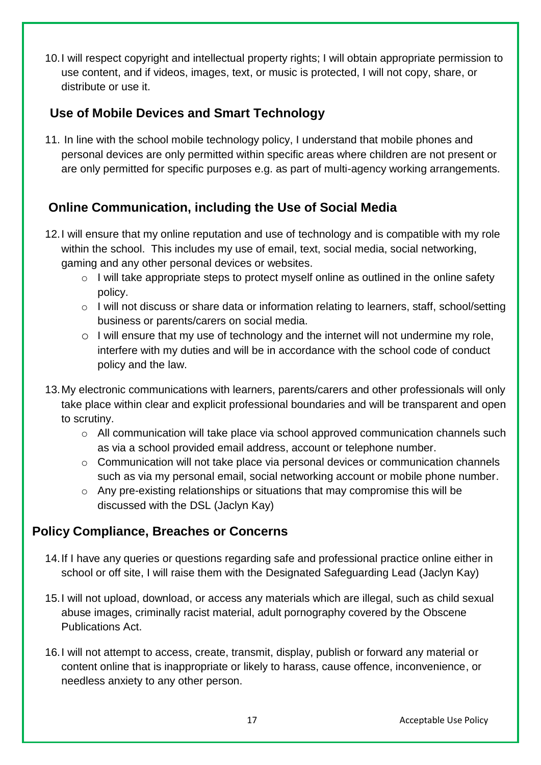10.I will respect copyright and intellectual property rights; I will obtain appropriate permission to use content, and if videos, images, text, or music is protected, I will not copy, share, or distribute or use it.

## **Use of Mobile Devices and Smart Technology**

11. In line with the school mobile technology policy, I understand that mobile phones and personal devices are only permitted within specific areas where children are not present or are only permitted for specific purposes e.g. as part of multi-agency working arrangements.

# **Online Communication, including the Use of Social Media**

- 12.I will ensure that my online reputation and use of technology and is compatible with my role within the school. This includes my use of email, text, social media, social networking, gaming and any other personal devices or websites.
	- o I will take appropriate steps to protect myself online as outlined in the online safety policy.
	- o I will not discuss or share data or information relating to learners, staff, school/setting business or parents/carers on social media.
	- o I will ensure that my use of technology and the internet will not undermine my role, interfere with my duties and will be in accordance with the school code of conduct policy and the law.
- 13.My electronic communications with learners, parents/carers and other professionals will only take place within clear and explicit professional boundaries and will be transparent and open to scrutiny.
	- $\circ$  All communication will take place via school approved communication channels such as via a school provided email address, account or telephone number.
	- o Communication will not take place via personal devices or communication channels such as via my personal email, social networking account or mobile phone number.
	- o Any pre-existing relationships or situations that may compromise this will be discussed with the DSL (Jaclyn Kay)

## **Policy Compliance, Breaches or Concerns**

- 14.If I have any queries or questions regarding safe and professional practice online either in school or off site, I will raise them with the Designated Safeguarding Lead (Jaclyn Kay)
- 15.I will not upload, download, or access any materials which are illegal, such as child sexual abuse images, criminally racist material, adult pornography covered by the Obscene Publications Act.
- 16.I will not attempt to access, create, transmit, display, publish or forward any material or content online that is inappropriate or likely to harass, cause offence, inconvenience, or needless anxiety to any other person.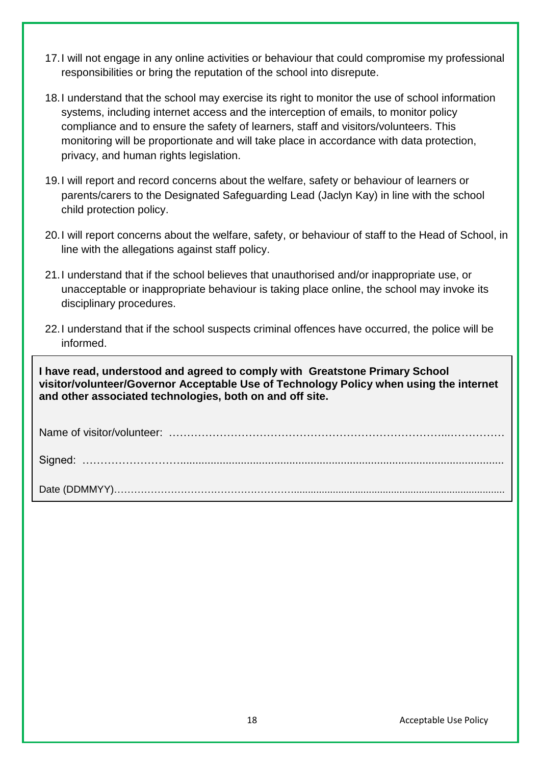- 17.I will not engage in any online activities or behaviour that could compromise my professional responsibilities or bring the reputation of the school into disrepute.
- 18.I understand that the school may exercise its right to monitor the use of school information systems, including internet access and the interception of emails, to monitor policy compliance and to ensure the safety of learners, staff and visitors/volunteers. This monitoring will be proportionate and will take place in accordance with data protection, privacy, and human rights legislation.
- 19.I will report and record concerns about the welfare, safety or behaviour of learners or parents/carers to the Designated Safeguarding Lead (Jaclyn Kay) in line with the school child protection policy.
- 20.I will report concerns about the welfare, safety, or behaviour of staff to the Head of School, in line with the allegations against staff policy.
- 21.I understand that if the school believes that unauthorised and/or inappropriate use, or unacceptable or inappropriate behaviour is taking place online, the school may invoke its disciplinary procedures.
- 22.I understand that if the school suspects criminal offences have occurred, the police will be informed.

**I have read, understood and agreed to comply with Greatstone Primary School visitor/volunteer/Governor Acceptable Use of Technology Policy when using the internet and other associated technologies, both on and off site.**

Name of visitor/volunteer: …………………………………………………………………...……………

Signed: ………………………...........................................................................................................

Date (DDMMYY)………………………………………………............................................................................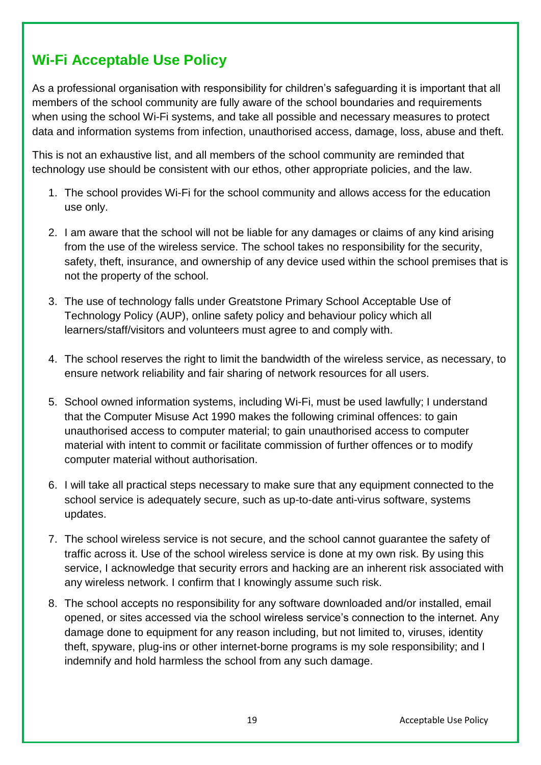# **Wi-Fi Acceptable Use Policy**

As a professional organisation with responsibility for children's safeguarding it is important that all members of the school community are fully aware of the school boundaries and requirements when using the school Wi-Fi systems, and take all possible and necessary measures to protect data and information systems from infection, unauthorised access, damage, loss, abuse and theft.

This is not an exhaustive list, and all members of the school community are reminded that technology use should be consistent with our ethos, other appropriate policies, and the law.

- 1. The school provides Wi-Fi for the school community and allows access for the education use only.
- 2. I am aware that the school will not be liable for any damages or claims of any kind arising from the use of the wireless service. The school takes no responsibility for the security, safety, theft, insurance, and ownership of any device used within the school premises that is not the property of the school.
- 3. The use of technology falls under Greatstone Primary School Acceptable Use of Technology Policy (AUP), online safety policy and behaviour policy which all learners/staff/visitors and volunteers must agree to and comply with.
- 4. The school reserves the right to limit the bandwidth of the wireless service, as necessary, to ensure network reliability and fair sharing of network resources for all users.
- 5. School owned information systems, including Wi-Fi, must be used lawfully; I understand that the Computer Misuse Act 1990 makes the following criminal offences: to gain unauthorised access to computer material; to gain unauthorised access to computer material with intent to commit or facilitate commission of further offences or to modify computer material without authorisation.
- 6. I will take all practical steps necessary to make sure that any equipment connected to the school service is adequately secure, such as up-to-date anti-virus software, systems updates.
- 7. The school wireless service is not secure, and the school cannot guarantee the safety of traffic across it. Use of the school wireless service is done at my own risk. By using this service, I acknowledge that security errors and hacking are an inherent risk associated with any wireless network. I confirm that I knowingly assume such risk.
- 8. The school accepts no responsibility for any software downloaded and/or installed, email opened, or sites accessed via the school wireless service's connection to the internet. Any damage done to equipment for any reason including, but not limited to, viruses, identity theft, spyware, plug-ins or other internet-borne programs is my sole responsibility; and I indemnify and hold harmless the school from any such damage.